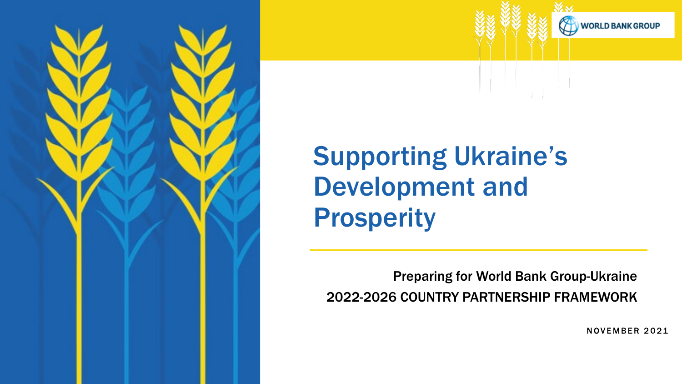

# Supporting Ukraine's Development and Prosperity

Preparing for World Bank Group-Ukraine 2022-2026 COUNTRY PARTNERSHIP FRAMEWORK

NOVEMBER 2021

**WORLD BANK GROUP**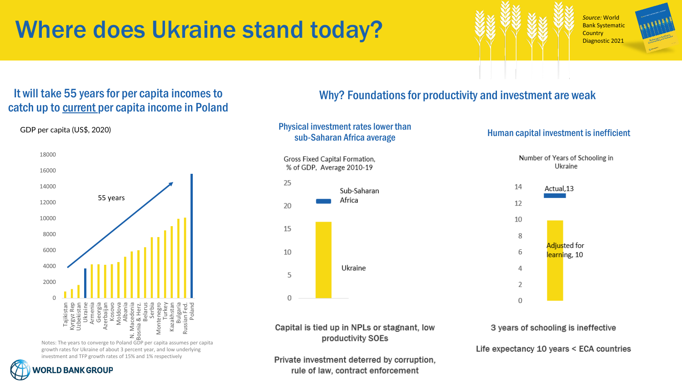# Where does Ukraine stand today?

*Source:* World Bank Systematic **Country** Diagnostic 2021



#### It will take 55 years for per capita incomes to Why? Foundations for productivity and investment are weak catch up to current per capita income in Poland



Notes: The years to converge to Poland GDP per capita assumes per capita growth rates for Ukraine of about 3 percent year, and low underlying investment and TFP growth rates of 15% and 1% respectively

GDP per capita (US\$, 2020)

## **WORLD BANK GROUP**

#### Physical investment rates lower than sub-Saharan Africa average Human capital investment is inefficient

Gross Fixed Capital Formation, % of GDP. Average 2010-19



#### Number of Years of Schooling in Ukraine 14 Actual,13 12



3 years of schooling is ineffective

Life expectancy 10 years < ECA countries

Capital is tied up in NPLs or stagnant, low productivity SOEs

Private investment deterred by corruption, rule of law, contract enforcement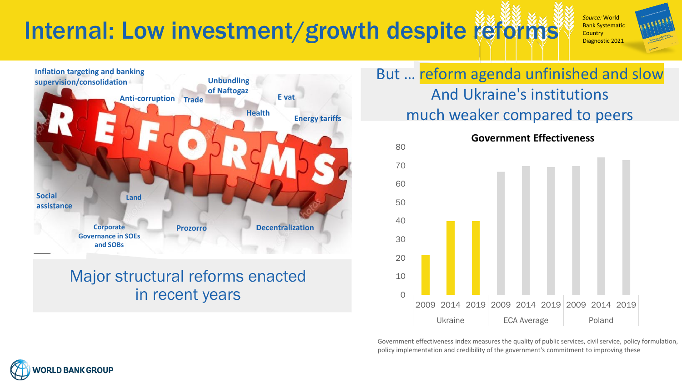# Internal: Low investment/growth despite reforms

*Source:* World Bank Systematic **Country** Diagnostic 2021



### Major structural reforms enacted in recent years

### But … reform agenda unfinished and slow And Ukraine's institutions much weaker compared to peers



Government effectiveness index measures the quality of public services, civil service, policy formulation, policy implementation and credibility of the government's commitment to improving these

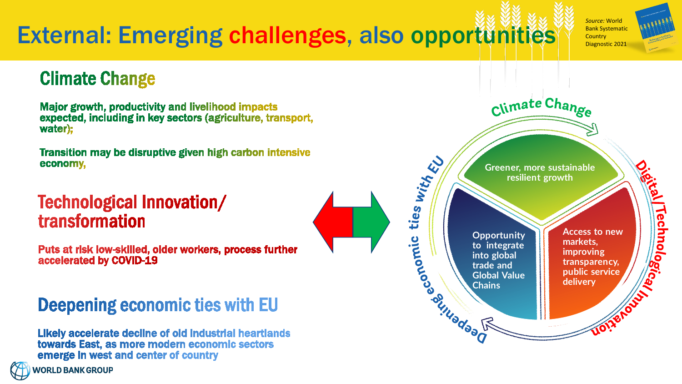# External: Emerging challenges, also opportunities

*Source:* World Bank Systematic **Country** Diagnostic 2021

### **Climate Change**

Major growth, productivity and livelihood impacts expected, including in key sectors (agriculture, transport, water):

Transition may be disruptive given high carbon intensive economy,

### Technological Innovation/ transformation

Puts at risk low-skilled, older workers, process further accelerated by COVID-19

### Deepening economic ties with EU

Likely accelerate decline of old industrial heartlands towards East, as more modern economic sectors emerge in west and center of country



Climate Change ties with El **Greener, more sustainable resilient growth** Technologic. **Constitutions Access to new Opportunity markets, to integrate improving into global transparency, trade and public service Global Value delivery**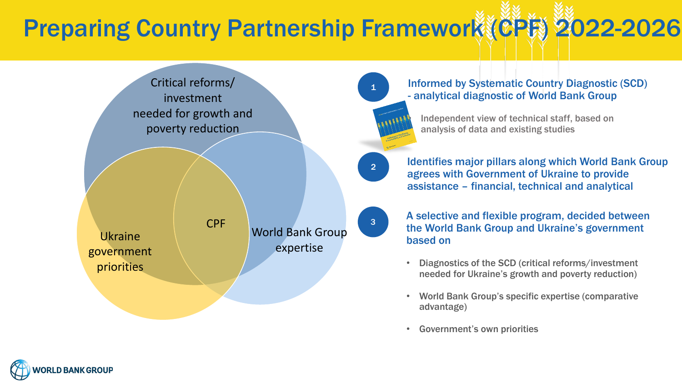# Preparing Country Partnership Framework (CPF) 2022-2026



<sup>1</sup> Informed by Systematic Country Diagnostic (SCD) - analytical diagnostic of World Bank Group

• Independent view of technical staff, based on analysis of data and existing studies

2 **Identifies major pillars along which World Bank Group** agrees with Government of Ukraine to provide assistance – financial, technical and analytical

> A selective and flexible program, decided between the World Bank Group and Ukraine's government based on

- Diagnostics of the SCD (critical reforms/investment needed for Ukraine's growth and poverty reduction)
- World Bank Group's specific expertise (comparative advantage)
- Government's own priorities

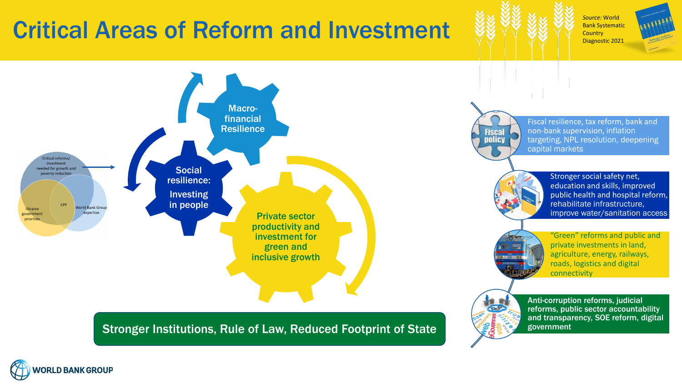# Critical Areas of Reform and Investment

*Source:* World Bank Systematic **Country** Diagnostic 2021





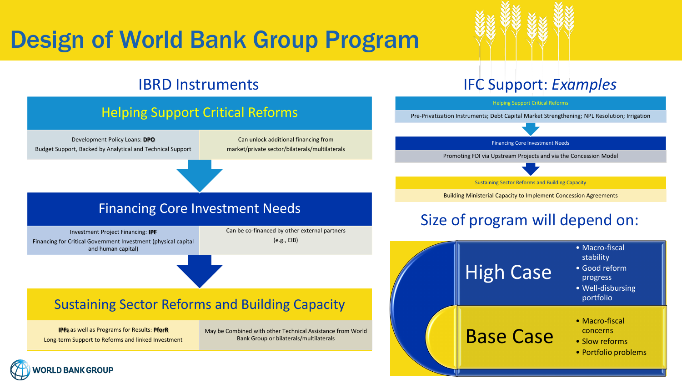# Design of World Bank Group Program

#### IBRD Instruments IFC Support: *Examples*

### Helping Support Critical Reforms

Development Policy Loans: **DPO**  Budget Support, Backed by Analytical and Technical Support

Can unlock additional financing from market/private sector/bilaterals/multilaterals

#### Financing Core Investment Needs

Investment Project Financing: **IPF** Financing for Critical Government Investment (physical capital and human capital)

Can be co-financed by other external partners (e.g., EIB)

#### Sustaining Sector Reforms and Building Capacity

**IPFs** as well as Programs for Results: **PforR** Long-term Support to Reforms and linked Investment May be Combined with other Technical Assistance from World Bank Group or bilaterals/multilaterals



Pre-Privatization Instruments; Debt Capital Market Strengthening; NPL Resolution; Irrigation

Financing Core Investment Needs

Promoting FDI via Upstream Projects and via the Concession Model

Sustaining Sector Reforms and Building Capacity

Building Ministerial Capacity to Implement Concession Agreements

### Size of program will depend on: